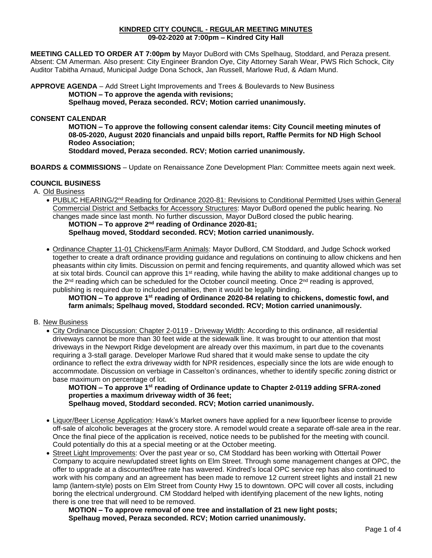### **KINDRED CITY COUNCIL - REGULAR MEETING MINUTES 09-02-2020 at 7:00pm – Kindred City Hall**

**MEETING CALLED TO ORDER AT 7:00pm by** Mayor DuBord with CMs Spelhaug, Stoddard, and Peraza present. Absent: CM Amerman. Also present: City Engineer Brandon Oye, City Attorney Sarah Wear, PWS Rich Schock, City Auditor Tabitha Arnaud, Municipal Judge Dona Schock, Jan Russell, Marlowe Rud, & Adam Mund.

**APPROVE AGENDA** – Add Street Light Improvements and Trees & Boulevards to New Business **MOTION – To approve the agenda with revisions; Spelhaug moved, Peraza seconded. RCV; Motion carried unanimously.** 

## **CONSENT CALENDAR**

**MOTION – To approve the following consent calendar items: City Council meeting minutes of 08-05-2020, August 2020 financials and unpaid bills report, Raffle Permits for ND High School Rodeo Association;**

**Stoddard moved, Peraza seconded. RCV; Motion carried unanimously.**

**BOARDS & COMMISSIONS** – Update on Renaissance Zone Development Plan: Committee meets again next week.

## **COUNCIL BUSINESS**

A. Old Business

- PUBLIC HEARING/2nd Reading for Ordinance 2020-81: Revisions to Conditional Permitted Uses within General Commercial District and Setbacks for Accessory Structures: Mayor DuBord opened the public hearing. No changes made since last month. No further discussion, Mayor DuBord closed the public hearing. **MOTION – To approve 2<sup>nd</sup> reading of Ordinance 2020-81; Spelhaug moved, Stoddard seconded. RCV; Motion carried unanimously.**
- Ordinance Chapter 11-01 Chickens/Farm Animals: Mayor DuBord, CM Stoddard, and Judge Schock worked together to create a draft ordinance providing guidance and regulations on continuing to allow chickens and hen pheasants within city limits. Discussion on permit and fencing requirements, and quantity allowed which was set at six total birds. Council can approve this  $1<sup>st</sup>$  reading, while having the ability to make additional changes up to the 2<sup>nd</sup> reading which can be scheduled for the October council meeting. Once 2<sup>nd</sup> reading is approved, publishing is required due to included penalties, then it would be legally binding.

### **MOTION – To approve 1 st reading of Ordinance 2020-84 relating to chickens, domestic fowl, and farm animals; Spelhaug moved, Stoddard seconded. RCV; Motion carried unanimously.**

#### B. New Business

• City Ordinance Discussion: Chapter 2-0119 - Driveway Width: According to this ordinance, all residential driveways cannot be more than 30 feet wide at the sidewalk line. It was brought to our attention that most driveways in the Newport Ridge development are already over this maximum, in part due to the covenants requiring a 3-stall garage. Developer Marlowe Rud shared that it would make sense to update the city ordinance to reflect the extra driveway width for NPR residences, especially since the lots are wide enough to accommodate. Discussion on verbiage in Casselton's ordinances, whether to identify specific zoning district or base maximum on percentage of lot.

**MOTION – To approve 1 st reading of Ordinance update to Chapter 2-0119 adding SFRA-zoned properties a maximum driveway width of 36 feet;**

- **Spelhaug moved, Stoddard seconded. RCV; Motion carried unanimously.**
- Liquor/Beer License Application: Hawk's Market owners have applied for a new liquor/beer license to provide off-sale of alcoholic beverages at the grocery store. A remodel would create a separate off-sale area in the rear. Once the final piece of the application is received, notice needs to be published for the meeting with council. Could potentially do this at a special meeting or at the October meeting.
- Street Light Improvements: Over the past year or so, CM Stoddard has been working with Ottertail Power Company to acquire new/updated street lights on Elm Street. Through some management changes at OPC, the offer to upgrade at a discounted/free rate has wavered. Kindred's local OPC service rep has also continued to work with his company and an agreement has been made to remove 12 current street lights and install 21 new lamp (lantern-style) posts on Elm Street from County Hwy 15 to downtown. OPC will cover all costs, including boring the electrical underground. CM Stoddard helped with identifying placement of the new lights, noting there is one tree that will need to be removed.

**MOTION – To approve removal of one tree and installation of 21 new light posts; Spelhaug moved, Peraza seconded. RCV; Motion carried unanimously.**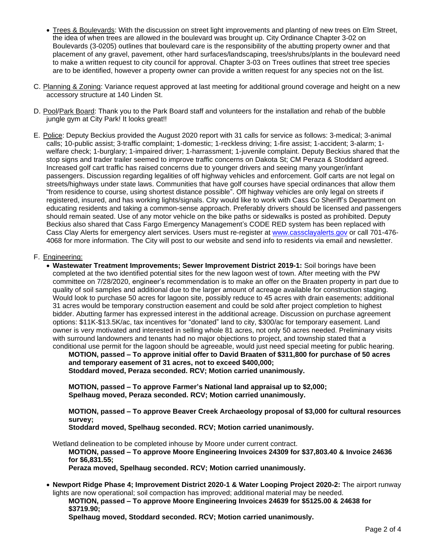- Trees & Boulevards: With the discussion on street light improvements and planting of new trees on Elm Street, the idea of when trees are allowed in the boulevard was brought up. City Ordinance Chapter 3-02 on Boulevards (3-0205) outlines that boulevard care is the responsibility of the abutting property owner and that placement of any gravel, pavement, other hard surfaces/landscaping, trees/shrubs/plants in the boulevard need to make a written request to city council for approval. Chapter 3-03 on Trees outlines that street tree species are to be identified, however a property owner can provide a written request for any species not on the list.
- C. Planning & Zoning: Variance request approved at last meeting for additional ground coverage and height on a new accessory structure at 140 Linden St.
- D. Pool/Park Board: Thank you to the Park Board staff and volunteers for the installation and rehab of the bubble jungle gym at City Park! It looks great!!
- E. Police: Deputy Beckius provided the August 2020 report with 31 calls for service as follows: 3-medical; 3-animal calls; 10-public assist; 3-traffic complaint; 1-domestic; 1-reckless driving; 1-fire assist; 1-accident; 3-alarm; 1 welfare check; 1-burglary; 1-impaired driver; 1-harrassment; 1-juvenile complaint. Deputy Beckius shared that the stop signs and trader trailer seemed to improve traffic concerns on Dakota St; CM Peraza & Stoddard agreed. Increased golf cart traffic has raised concerns due to younger drivers and seeing many younger/infant passengers. Discussion regarding legalities of off highway vehicles and enforcement. Golf carts are not legal on streets/highways under state laws. Communities that have golf courses have special ordinances that allow them "from residence to course, using shortest distance possible". Off highway vehicles are only legal on streets if registered, insured, and has working lights/signals. City would like to work with Cass Co Sheriff's Department on educating residents and taking a common-sense approach. Preferably drivers should be licensed and passengers should remain seated. Use of any motor vehicle on the bike paths or sidewalks is posted as prohibited. Deputy Beckius also shared that Cass Fargo Emergency Management's CODE RED system has been replaced with Cass Clay Alerts for emergency alert services. Users must re-register at [www.cassclayalerts.gov](http://www.cassclayalerts.gov/) or call 701-476- 4068 for more information. The City will post to our website and send info to residents via email and newsletter.

#### F. Engineering:

• **Wastewater Treatment Improvements; Sewer Improvement District 2019-1:** Soil borings have been completed at the two identified potential sites for the new lagoon west of town. After meeting with the PW committee on 7/28/2020, engineer's recommendation is to make an offer on the Braaten property in part due to quality of soil samples and additional due to the larger amount of acreage available for construction staging. Would look to purchase 50 acres for lagoon site, possibly reduce to 45 acres with drain easements; additional 31 acres would be temporary construction easement and could be sold after project completion to highest bidder. Abutting farmer has expressed interest in the additional acreage. Discussion on purchase agreement options: \$11K-\$13.5K/ac, tax incentives for "donated" land to city, \$300/ac for temporary easement. Land owner is very motivated and interested in selling whole 81 acres, not only 50 acres needed. Preliminary visits with surround landowners and tenants had no major objections to project, and township stated that a conditional use permit for the lagoon should be agreeable, would just need special meeting for public hearing.

**MOTION, passed – To approve initial offer to David Braaten of \$311,800 for purchase of 50 acres and temporary easement of 31 acres, not to exceed \$400,000; Stoddard moved, Peraza seconded. RCV; Motion carried unanimously.**

**MOTION, passed – To approve Farmer's National land appraisal up to \$2,000; Spelhaug moved, Peraza seconded. RCV; Motion carried unanimously.**

**MOTION, passed – To approve Beaver Creek Archaeology proposal of \$3,000 for cultural resources survey;**

**Stoddard moved, Spelhaug seconded. RCV; Motion carried unanimously.**

Wetland delineation to be completed inhouse by Moore under current contract.

**MOTION, passed – To approve Moore Engineering Invoices 24309 for \$37,803.40 & Invoice 24636 for \$6,831.55;**

**Peraza moved, Spelhaug seconded. RCV; Motion carried unanimously.**

• **Newport Ridge Phase 4; Improvement District 2020-1 & Water Looping Project 2020-2:** The airport runway lights are now operational; soil compaction has improved; additional material may be needed.

**MOTION, passed – To approve Moore Engineering Invoices 24639 for \$5125.00 & 24638 for \$3719.90;**

**Spelhaug moved, Stoddard seconded. RCV; Motion carried unanimously.**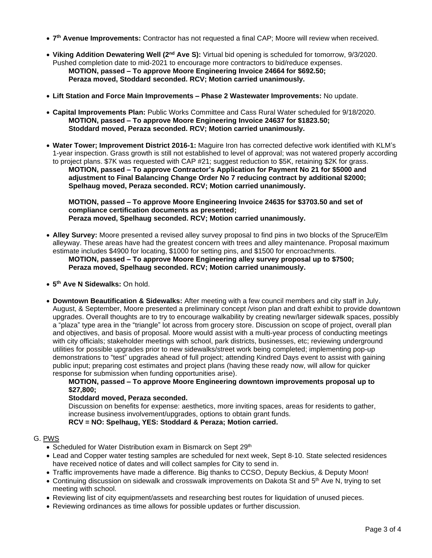- **7 th Avenue Improvements:** Contractor has not requested a final CAP; Moore will review when received.
- **Viking Addition Dewatering Well (2nd Ave S):** Virtual bid opening is scheduled for tomorrow, 9/3/2020. Pushed completion date to mid-2021 to encourage more contractors to bid/reduce expenses. **MOTION, passed – To approve Moore Engineering Invoice 24664 for \$692.50; Peraza moved, Stoddard seconded. RCV; Motion carried unanimously.**
- **Lift Station and Force Main Improvements – Phase 2 Wastewater Improvements:** No update.
- **Capital Improvements Plan:** Public Works Committee and Cass Rural Water scheduled for 9/18/2020. **MOTION, passed – To approve Moore Engineering Invoice 24637 for \$1823.50; Stoddard moved, Peraza seconded. RCV; Motion carried unanimously.**
- **Water Tower; Improvement District 2016-1:** Maguire Iron has corrected defective work identified with KLM's 1-year inspection. Grass growth is still not established to level of approval; was not watered properly according to project plans. \$7K was requested with CAP #21; suggest reduction to \$5K, retaining \$2K for grass. **MOTION, passed – To approve Contractor's Application for Payment No 21 for \$5000 and adjustment to Final Balancing Change Order No 7 reducing contract by additional \$2000; Spelhaug moved, Peraza seconded. RCV; Motion carried unanimously.**

**MOTION, passed – To approve Moore Engineering Invoice 24635 for \$3703.50 and set of compliance certification documents as presented; Peraza moved, Spelhaug seconded. RCV; Motion carried unanimously.** 

• **Alley Survey:** Moore presented a revised alley survey proposal to find pins in two blocks of the Spruce/Elm alleyway. These areas have had the greatest concern with trees and alley maintenance. Proposal maximum estimate includes \$4900 for locating, \$1000 for setting pins, and \$1500 for encroachments.

## **MOTION, passed – To approve Moore Engineering alley survey proposal up to \$7500; Peraza moved, Spelhaug seconded. RCV; Motion carried unanimously.**

- **5 th Ave N Sidewalks:** On hold.
- **Downtown Beautification & Sidewalks:** After meeting with a few council members and city staff in July, August, & September, Moore presented a preliminary concept /vison plan and draft exhibit to provide downtown upgrades. Overall thoughts are to try to encourage walkability by creating new/larger sidewalk spaces, possibly a "plaza" type area in the "triangle" lot across from grocery store. Discussion on scope of project, overall plan and objectives, and basis of proposal. Moore would assist with a multi-year process of conducting meetings with city officials; stakeholder meetings with school, park districts, businesses, etc; reviewing underground utilities for possible upgrades prior to new sidewalks/street work being completed; implementing pop-up demonstrations to "test" upgrades ahead of full project; attending Kindred Days event to assist with gaining public input; preparing cost estimates and project plans (having these ready now, will allow for quicker response for submission when funding opportunities arise).

### **MOTION, passed – To approve Moore Engineering downtown improvements proposal up to \$27,800;**

## **Stoddard moved, Peraza seconded.**

Discussion on benefits for expense: aesthetics, more inviting spaces, areas for residents to gather, increase business involvement/upgrades, options to obtain grant funds.

**RCV = NO: Spelhaug, YES: Stoddard & Peraza; Motion carried.**

# G. PWS

- Scheduled for Water Distribution exam in Bismarck on Sept 29<sup>th</sup>
- Lead and Copper water testing samples are scheduled for next week, Sept 8-10. State selected residences have received notice of dates and will collect samples for City to send in.
- Traffic improvements have made a difference. Big thanks to CCSO, Deputy Beckius, & Deputy Moon!
- Continuing discussion on sidewalk and crosswalk improvements on Dakota St and 5<sup>th</sup> Ave N, trying to set meeting with school.
- Reviewing list of city equipment/assets and researching best routes for liquidation of unused pieces.
- Reviewing ordinances as time allows for possible updates or further discussion.